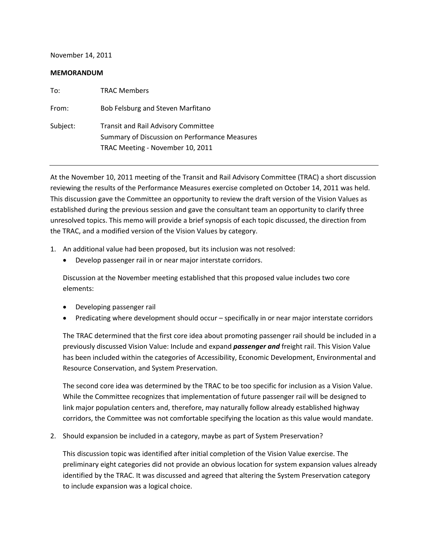November 14, 2011

#### **MEMORANDUM**

| To:      | <b>TRAC Members</b>                                                                                                             |
|----------|---------------------------------------------------------------------------------------------------------------------------------|
| From:    | Bob Felsburg and Steven Marfitano                                                                                               |
| Subject: | <b>Transit and Rail Advisory Committee</b><br>Summary of Discussion on Performance Measures<br>TRAC Meeting - November 10, 2011 |

At the November 10, 2011 meeting of the Transit and Rail Advisory Committee (TRAC) a short discussion reviewing the results of the Performance Measures exercise completed on October 14, 2011 was held. This discussion gave the Committee an opportunity to review the draft version of the Vision Values as established during the previous session and gave the consultant team an opportunity to clarify three unresolved topics. This memo will provide a brief synopsis of each topic discussed, the direction from the TRAC, and a modified version of the Vision Values by category.

- 1. An additional value had been proposed, but its inclusion was not resolved:
	- Develop passenger rail in or near major interstate corridors.

Discussion at the November meeting established that this proposed value includes two core elements:

- Developing passenger rail
- Predicating where development should occur specifically in or near major interstate corridors

The TRAC determined that the first core idea about promoting passenger rail should be included in a previously discussed Vision Value: Include and expand *passenger and* freight rail. This Vision Value has been included within the categories of Accessibility, Economic Development, Environmental and Resource Conservation, and System Preservation.

The second core idea was determined by the TRAC to be too specific for inclusion as a Vision Value. While the Committee recognizes that implementation of future passenger rail will be designed to link major population centers and, therefore, may naturally follow already established highway corridors, the Committee was not comfortable specifying the location as this value would mandate.

2. Should expansion be included in a category, maybe as part of System Preservation?

This discussion topic was identified after initial completion of the Vision Value exercise. The preliminary eight categories did not provide an obvious location for system expansion values already identified by the TRAC. It was discussed and agreed that altering the System Preservation category to include expansion was a logical choice.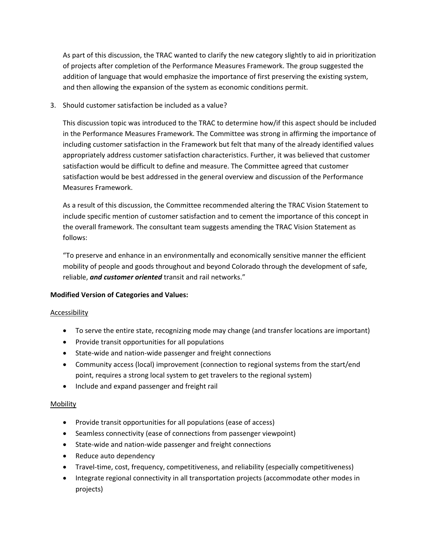As part of this discussion, the TRAC wanted to clarify the new category slightly to aid in prioritization of projects after completion of the Performance Measures Framework. The group suggested the addition of language that would emphasize the importance of first preserving the existing system, and then allowing the expansion of the system as economic conditions permit.

3. Should customer satisfaction be included as a value?

This discussion topic was introduced to the TRAC to determine how/if this aspect should be included in the Performance Measures Framework. The Committee was strong in affirming the importance of including customer satisfaction in the Framework but felt that many of the already identified values appropriately address customer satisfaction characteristics. Further, it was believed that customer satisfaction would be difficult to define and measure. The Committee agreed that customer satisfaction would be best addressed in the general overview and discussion of the Performance Measures Framework.

As a result of this discussion, the Committee recommended altering the TRAC Vision Statement to include specific mention of customer satisfaction and to cement the importance of this concept in the overall framework. The consultant team suggests amending the TRAC Vision Statement as follows:

"To preserve and enhance in an environmentally and economically sensitive manner the efficient mobility of people and goods throughout and beyond Colorado through the development of safe, reliable, *and customer oriented* transit and rail networks."

### **Modified Version of Categories and Values:**

### Accessibility

- To serve the entire state, recognizing mode may change (and transfer locations are important)
- Provide transit opportunities for all populations
- State‐wide and nation‐wide passenger and freight connections
- Community access (local) improvement (connection to regional systems from the start/end point, requires a strong local system to get travelers to the regional system)
- Include and expand passenger and freight rail

### Mobility

- Provide transit opportunities for all populations (ease of access)
- Seamless connectivity (ease of connections from passenger viewpoint)
- State‐wide and nation‐wide passenger and freight connections
- Reduce auto dependency
- Travel-time, cost, frequency, competitiveness, and reliability (especially competitiveness)
- Integrate regional connectivity in all transportation projects (accommodate other modes in projects)